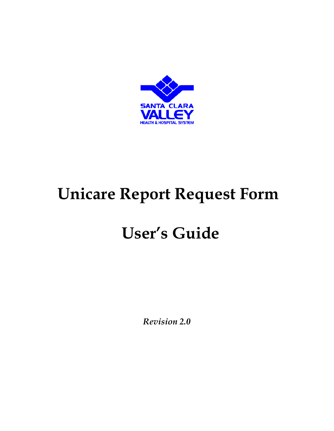

# **Unicare Report Request Form**

# **User's Guide**

*Revision 2.0*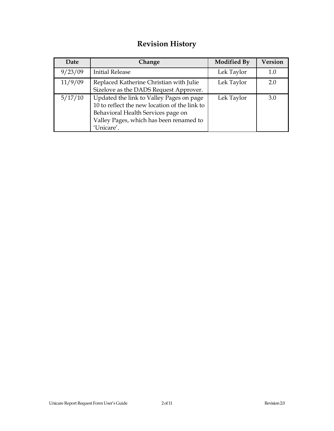### **Revision History**

| Date    | Change                                                                                                                                                                                   | <b>Modified By</b> | <b>Version</b> |
|---------|------------------------------------------------------------------------------------------------------------------------------------------------------------------------------------------|--------------------|----------------|
| 9/23/09 | <b>Initial Release</b>                                                                                                                                                                   | Lek Taylor         | 1.0            |
| 11/9/09 | Replaced Katherine Christian with Julie<br>Sizelove as the DADS Request Approver.                                                                                                        | Lek Taylor         | 2.0            |
| 5/17/10 | Updated the link to Valley Pages on page<br>10 to reflect the new location of the link to<br>Behavioral Health Services page on<br>Valley Pages, which has been renamed to<br>'Unicare'. | Lek Taylor         | 3.0            |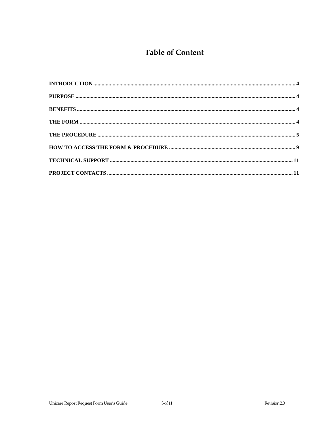#### **Table of Content**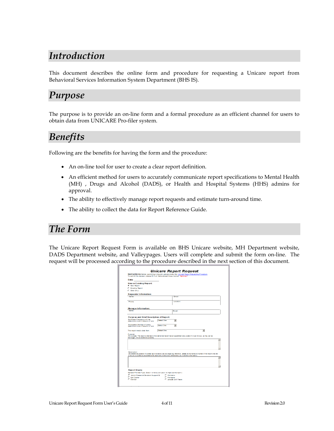## *Introduction*

This document describes the online form and procedure for requesting a Unicare report from Behavioral Services Information System Department (BHS IS).

### *Purpose*

The purpose is to provide an on-line form and a formal procedure as an efficient channel for users to obtain data from UNICARE Pro-filer system.

## *Benefits*

Following are the benefits for having the form and the procedure:

- An on-line tool for user to create a clear report definition.
- An efficient method for users to accurately communicate report specifications to Mental Health (MH) , Drugs and Alcohol (DADS), or Health and Hospital Systems (HHS) admins for approval.
- The ability to effectively manage report requests and estimate turn-around time.
- The ability to collect the data for Report Reference Guide.

### *The Form*

The Unicare Report Request Form is available on BHS Unicare website, MH Department website, DADS Department website, and Valleypages. Users will complete and submit the form on-line. The request will be processed according to the procedure described in the next section of this document.

| To submit the request please fill in all felds except those marked "Optional".                                                                                                    |                     |                |                                                                                                                                                   |
|-----------------------------------------------------------------------------------------------------------------------------------------------------------------------------------|---------------------|----------------|---------------------------------------------------------------------------------------------------------------------------------------------------|
| Date:                                                                                                                                                                             |                     |                |                                                                                                                                                   |
| New or Existing Report                                                                                                                                                            |                     |                |                                                                                                                                                   |
| * New Report<br><b>C. Existna Report</b>                                                                                                                                          |                     |                |                                                                                                                                                   |
| C Data Only                                                                                                                                                                       |                     |                |                                                                                                                                                   |
|                                                                                                                                                                                   |                     |                |                                                                                                                                                   |
| <b>Requestor Information:</b><br>Name:                                                                                                                                            |                     | Email:         |                                                                                                                                                   |
|                                                                                                                                                                                   |                     |                |                                                                                                                                                   |
| Phone:                                                                                                                                                                            |                     | Location:      |                                                                                                                                                   |
|                                                                                                                                                                                   |                     |                |                                                                                                                                                   |
| Manager Information:                                                                                                                                                              |                     |                |                                                                                                                                                   |
| Name:                                                                                                                                                                             |                     | Email:         |                                                                                                                                                   |
|                                                                                                                                                                                   |                     |                |                                                                                                                                                   |
| Purpo se and Brief Description of Report:                                                                                                                                         |                     |                |                                                                                                                                                   |
| Estimated Frequency of Use:                                                                                                                                                       | Select One          | $\blacksquare$ |                                                                                                                                                   |
| (selectione oirtype in frequency of usie)                                                                                                                                         |                     |                |                                                                                                                                                   |
| Anticipated Number of Users:<br>(selectione oirtype in frequency of us e)                                                                                                         | Select One          | $\mathbf{r}$   |                                                                                                                                                   |
|                                                                                                                                                                                   |                     |                |                                                                                                                                                   |
| This report needs data fom:                                                                                                                                                       | Select One          |                | $\overline{\phantom{a}}$                                                                                                                          |
| Purpose:                                                                                                                                                                          |                     |                |                                                                                                                                                   |
| (For example: "This report is intended to fit dicients that haven't had an appointment at a Location for over 30 days, so they can be<br>discharged." Be as detailed as possible) |                     |                |                                                                                                                                                   |
|                                                                                                                                                                                   |                     |                |                                                                                                                                                   |
|                                                                                                                                                                                   |                     |                |                                                                                                                                                   |
|                                                                                                                                                                                   |                     |                |                                                                                                                                                   |
|                                                                                                                                                                                   |                     |                |                                                                                                                                                   |
| Description:                                                                                                                                                                      |                     |                |                                                                                                                                                   |
| what you would like to see similar to the report and what extra or of ferences you would like in the recort.)                                                                     |                     |                | (As detailed as possible, if a similar reporter ists to use as a beginning reference, please list the Name and Number of that report. A is o list |
|                                                                                                                                                                                   |                     |                |                                                                                                                                                   |
|                                                                                                                                                                                   |                     |                |                                                                                                                                                   |
|                                                                                                                                                                                   |                     |                |                                                                                                                                                   |
|                                                                                                                                                                                   |                     |                |                                                                                                                                                   |
|                                                                                                                                                                                   |                     |                |                                                                                                                                                   |
|                                                                                                                                                                                   |                     |                |                                                                                                                                                   |
| <b>Report Users:</b>                                                                                                                                                              |                     |                |                                                                                                                                                   |
| General Provider Type (Select 1 or more user types wind might use in is report):<br>Admin Research/Decision Support/QI                                                            | <b>E</b> Clinicians |                |                                                                                                                                                   |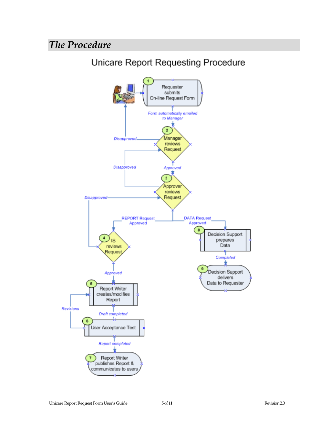# *The Procedure*

# **Unicare Report Requesting Procedure**

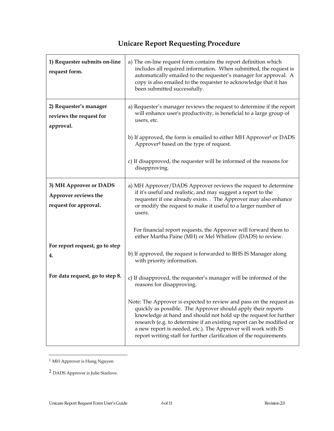## **Unicare Report Requesting Procedure**

| 1) Requester submits on-line<br>request form.                           | a) The on-line request form contains the report definition which<br>includes all required information. When submitted, the request is<br>automatically emailed to the requester's manager for approval. A<br>copy is also emailed to the requester to acknowledge that it has<br>been submitted successfully.                                                                                                           |  |
|-------------------------------------------------------------------------|-------------------------------------------------------------------------------------------------------------------------------------------------------------------------------------------------------------------------------------------------------------------------------------------------------------------------------------------------------------------------------------------------------------------------|--|
| 2) Requester's manager<br>reviews the request for<br>approval.          | a) Requester's manager reviews the request to determine if the report<br>will enhance user's productivity, is beneficial to a large group of<br>users, etc.                                                                                                                                                                                                                                                             |  |
|                                                                         | b) If approved, the form is emailed to either MH Approver <sup>1</sup> or DADS<br>Approver <sup>2</sup> based on the type of request.                                                                                                                                                                                                                                                                                   |  |
|                                                                         | c) If disapproved, the requester will be informed of the reasons for<br>disapproving.                                                                                                                                                                                                                                                                                                                                   |  |
| 3) MH Approver or DADS<br>Approver reviews the<br>request for approval. | a) MH Approver/DADS Approver reviews the request to determine<br>if it's useful and realistic, and may suggest a report to the<br>requester if one already exists. . The Approver may also enhance<br>or modify the request to make it useful to a larger number of<br>users.                                                                                                                                           |  |
|                                                                         | For financial report requests, the Approver will forward them to<br>either Martha Paine (MH) or Mel Whitlow (DADS) to review.                                                                                                                                                                                                                                                                                           |  |
| For report request, go to step<br>4.                                    | b) If approved, the request is forwarded to BHS IS Manager along<br>with priority information.                                                                                                                                                                                                                                                                                                                          |  |
| For data request, go to step 8.                                         | c) If disapproved, the requester's manager will be informed of the<br>reasons for disapproving.                                                                                                                                                                                                                                                                                                                         |  |
|                                                                         | Note: The Approver is expected to review and pass on the request as<br>quickly as possible. The Approver should apply their reports<br>knowledge at hand and should not hold up the request for further<br>research (e.g. to determine if an existing report can be modified or<br>a new report is needed, etc.). The Approver will work with IS<br>report writing staff for further clarification of the requirements. |  |

 $^{\rm 1}$  MH Approver is Hung Nguyen.

 $\overline{\phantom{a}}$ 

<sup>2</sup> DADS Approver is Julie Sizelove.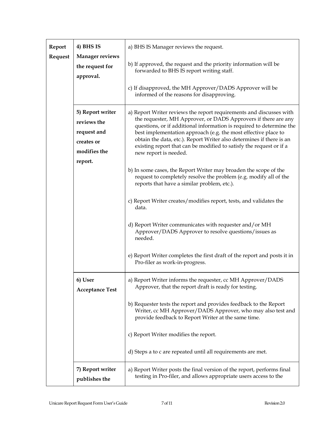| Report<br>Request | 4) BHS IS<br><b>Manager reviews</b><br>the request for<br>approval.                     | a) BHS IS Manager reviews the request.<br>b) If approved, the request and the priority information will be<br>forwarded to BHS IS report writing staff.<br>c) If disapproved, the MH Approver/DADS Approver will be<br>informed of the reasons for disapproving.                                                                                                                                                                                                                                                                                                                                                                                                                                                                                                                                                                                                                                                                                                           |
|-------------------|-----------------------------------------------------------------------------------------|----------------------------------------------------------------------------------------------------------------------------------------------------------------------------------------------------------------------------------------------------------------------------------------------------------------------------------------------------------------------------------------------------------------------------------------------------------------------------------------------------------------------------------------------------------------------------------------------------------------------------------------------------------------------------------------------------------------------------------------------------------------------------------------------------------------------------------------------------------------------------------------------------------------------------------------------------------------------------|
|                   | 5) Report writer<br>reviews the<br>request and<br>creates or<br>modifies the<br>report. | a) Report Writer reviews the report requirements and discusses with<br>the requester, MH Approver, or DADS Approvers if there are any<br>questions, or if additional information is required to determine the<br>best implementation approach (e.g. the most effective place to<br>obtain the data, etc.). Report Writer also determines if there is an<br>existing report that can be modified to satisfy the request or if a<br>new report is needed.<br>b) In some cases, the Report Writer may broaden the scope of the<br>request to completely resolve the problem (e.g. modify all of the<br>reports that have a similar problem, etc.).<br>c) Report Writer creates/modifies report, tests, and validates the<br>data.<br>d) Report Writer communicates with requester and/or MH<br>Approver/DADS Approver to resolve questions/issues as<br>needed.<br>e) Report Writer completes the first draft of the report and posts it in<br>Pro-filer as work-in-progress. |
|                   | 6) User<br><b>Acceptance Test</b>                                                       | a) Report Writer informs the requester, cc MH Approver/DADS<br>Approver, that the report draft is ready for testing.<br>b) Requester tests the report and provides feedback to the Report<br>Writer, cc MH Approver/DADS Approver, who may also test and<br>provide feedback to Report Writer at the same time.<br>c) Report Writer modifies the report.<br>d) Steps a to c are repeated until all requirements are met.                                                                                                                                                                                                                                                                                                                                                                                                                                                                                                                                                   |
|                   | 7) Report writer<br>publishes the                                                       | a) Report Writer posts the final version of the report, performs final<br>testing in Pro-filer, and allows appropriate users access to the                                                                                                                                                                                                                                                                                                                                                                                                                                                                                                                                                                                                                                                                                                                                                                                                                                 |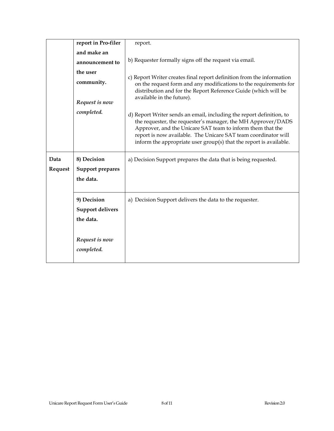|                        | report in Pro-filer                                                                                                                                                                                                                                                                   | report.                                                                                                                                                                                                                                                                                                                                    |
|------------------------|---------------------------------------------------------------------------------------------------------------------------------------------------------------------------------------------------------------------------------------------------------------------------------------|--------------------------------------------------------------------------------------------------------------------------------------------------------------------------------------------------------------------------------------------------------------------------------------------------------------------------------------------|
|                        | and make an<br>announcement to                                                                                                                                                                                                                                                        | b) Requester formally signs off the request via email.                                                                                                                                                                                                                                                                                     |
|                        | the user<br>c) Report Writer creates final report definition from the information<br>community.<br>on the request form and any modifications to the requirements for<br>distribution and for the Report Reference Guide (which will be<br>available in the future).<br>Request is now |                                                                                                                                                                                                                                                                                                                                            |
|                        | completed.                                                                                                                                                                                                                                                                            | d) Report Writer sends an email, including the report definition, to<br>the requester, the requester's manager, the MH Approver/DADS<br>Approver, and the Unicare SAT team to inform them that the<br>report is now available. The Unicare SAT team coordinator will<br>inform the appropriate user group(s) that the report is available. |
| Data<br><b>Request</b> | 8) Decision<br>Support prepares<br>the data.                                                                                                                                                                                                                                          | a) Decision Support prepares the data that is being requested.                                                                                                                                                                                                                                                                             |
|                        | 9) Decision<br><b>Support delivers</b><br>the data.                                                                                                                                                                                                                                   | a) Decision Support delivers the data to the requester.                                                                                                                                                                                                                                                                                    |
|                        | Request is now<br>completed.                                                                                                                                                                                                                                                          |                                                                                                                                                                                                                                                                                                                                            |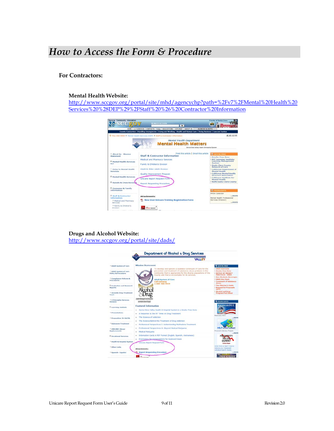### *How to Access the Form & Procedure*

#### **For Contractors:**

#### **Mental Health Website:**

http://www.sccgov.org/portal/site/mhd/agencychp?path=%2Fv7%2FMental%20Health%20 Services%20%28DEP%29%2FStaff%20%26%20Contractor%20Information



#### **Drugs and Alcohol Website:**

http://www.sccgov.org/portal/site/dads/

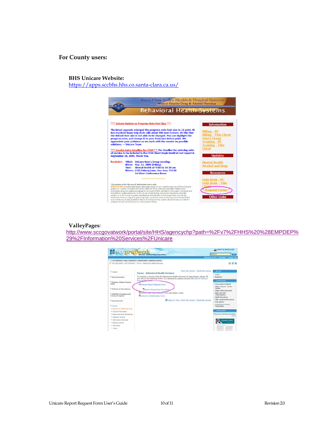#### **For County users:**

#### **BHS Unicare Website:**

https://apps.sccbhs.hhs.co.santa-clara.ca.us/



#### **ValleyPages***:*

http://www.sccgovatwork/portal/site/HHS/agencychp?path=%2Fv7%2FHHS%20%28EMPDEP% 29%2FInformation%20Services%2FUnicare